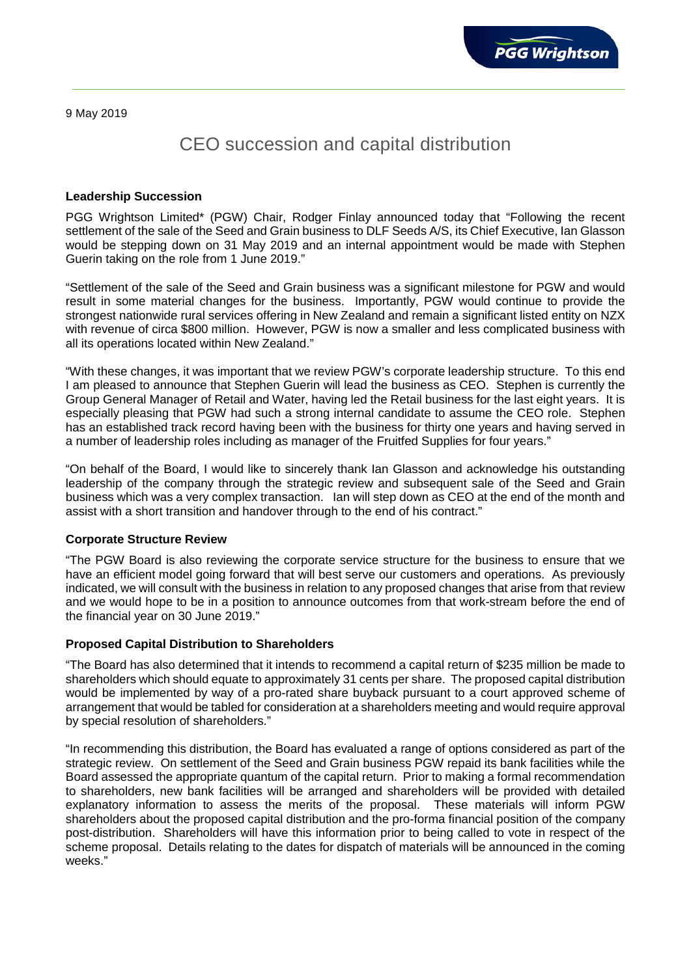9 May 2019

# CEO succession and capital distribution

## **Leadership Succession**

PGG Wrightson Limited\* (PGW) Chair, Rodger Finlay announced today that "Following the recent settlement of the sale of the Seed and Grain business to DLF Seeds A/S, its Chief Executive, Ian Glasson would be stepping down on 31 May 2019 and an internal appointment would be made with Stephen Guerin taking on the role from 1 June 2019."

"Settlement of the sale of the Seed and Grain business was a significant milestone for PGW and would result in some material changes for the business. Importantly, PGW would continue to provide the strongest nationwide rural services offering in New Zealand and remain a significant listed entity on NZX with revenue of circa \$800 million. However, PGW is now a smaller and less complicated business with all its operations located within New Zealand."

"With these changes, it was important that we review PGW's corporate leadership structure. To this end I am pleased to announce that Stephen Guerin will lead the business as CEO. Stephen is currently the Group General Manager of Retail and Water, having led the Retail business for the last eight years. It is especially pleasing that PGW had such a strong internal candidate to assume the CEO role. Stephen has an established track record having been with the business for thirty one years and having served in a number of leadership roles including as manager of the Fruitfed Supplies for four years."

"On behalf of the Board, I would like to sincerely thank Ian Glasson and acknowledge his outstanding leadership of the company through the strategic review and subsequent sale of the Seed and Grain business which was a very complex transaction. Ian will step down as CEO at the end of the month and assist with a short transition and handover through to the end of his contract."

### **Corporate Structure Review**

"The PGW Board is also reviewing the corporate service structure for the business to ensure that we have an efficient model going forward that will best serve our customers and operations. As previously indicated, we will consult with the business in relation to any proposed changes that arise from that review and we would hope to be in a position to announce outcomes from that work-stream before the end of the financial year on 30 June 2019."

### **Proposed Capital Distribution to Shareholders**

"The Board has also determined that it intends to recommend a capital return of \$235 million be made to shareholders which should equate to approximately 31 cents per share. The proposed capital distribution would be implemented by way of a pro-rated share buyback pursuant to a court approved scheme of arrangement that would be tabled for consideration at a shareholders meeting and would require approval by special resolution of shareholders."

"In recommending this distribution, the Board has evaluated a range of options considered as part of the strategic review. On settlement of the Seed and Grain business PGW repaid its bank facilities while the Board assessed the appropriate quantum of the capital return. Prior to making a formal recommendation to shareholders, new bank facilities will be arranged and shareholders will be provided with detailed explanatory information to assess the merits of the proposal. These materials will inform PGW shareholders about the proposed capital distribution and the pro-forma financial position of the company post-distribution. Shareholders will have this information prior to being called to vote in respect of the scheme proposal. Details relating to the dates for dispatch of materials will be announced in the coming weeks."